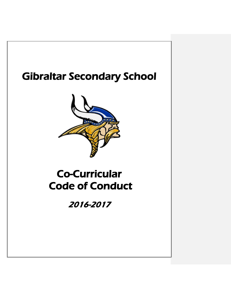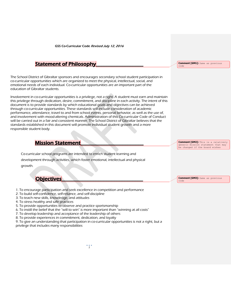### Statement of Philosophy

The School District of Gibraltar sponsors and encourages secondary school student participation in co-curricular opportunities which are organized to meet the physical, intellectual, social, and emotional needs of each individual. Co-curricular opportunities are an important part of the education of Gibraltar students.

Involvement in co-curricular opportunities is a privilege, not a right. A student must earn and maintain this privilege through dedication, desire, commitment, and discipline in each activity. The intent of this document is to provide standards by which educational goals and objectives can be achieved through co-curricular opportunities. These standards will include consideration of academic performance, attendance, travel to and from school events, personal behavior, as well as the use of, and involvement with mood-altering chemicals. Administration of this Co-curricular Code of Conduct will be carried out in a fair and consistent manner. The School District of Gibraltar believes that the standards established in this document will promote individual student growth and a more responsible student body.

### **Mission Statement**

Co-curricular school programs are intended to enrich student learning and development through activities, which foster emotional, intellectual and physical growth.

**Objectives** 

- 1. To encourage participation and seek excellence in competition and performance
- 2. To build self-confidence, self-reliance, and self-discipline
- 3. To teach new skills, knowledge, and attitudes
- 4. To stress healthy and safe practices
- 5. To provide opportunities to observe and practice sportsmanship
- 6. To instill the belief that the "will to win" is more important than "winning at all costs"
- 7. To develop leadership and acceptance of the leadership of others
- 8. To provide experiences in commitment, dedication, and loyalty

9. To give an understanding that participation in co-curricular opportunities is not a right, but a privilege that includes many responsibilities

**Comment [GM1]:** Same as previous code

**Comment [GM2]:** This is a relatively generic mission statement that may be changed if the board wishes

**Comment [GM3]:** Same as previous code

*1*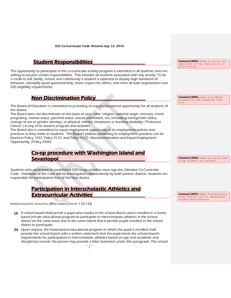### **Student Responsibilities**

The opportunity to participate in the co-curricular activity program is extended to all students who are willing to assume certain responsibilities. This includes all students associated with any activity. To be a credit to self, family, school, and community a student is expected to display high standards of behavior, exemplify good sportsmanship, show respect for others, and meet all state organization and GSS eligibility requirements.

### **Non Discrimination Policy**

The Board of Education is committed to providing an equal educational opportunity for all students of the district.

The Board does not discriminate on the basis of race, color, religion, national origin, ancestry, creed, pregnancy, marital status, parental status, sexual orientation, sex, (including transgender status, change of sex or gender identity), or physical, mental, emotional, or learning disability ("Protected Classes") in any of its student program and activities.

The Board also is committed to equal employment opportunity in its employment policies and practices as they relate to students. The Board's policies pertaining to employment practices can be found in Policy 1422, Policy 3122, and Policy 4122—Nondiscrimination and Equal Employment Opportunity. (Policy 2260)

### Co-op procedure with Washington Island and Sevastopol

Students who participate in established GSS co-op activities must sign the Gibraltar Co-Curricular Code. Violations of the code will be investigated collaboratively by both partner districts. Students are responsible for participation fees of the host district.

### Participation in Interscholastic Athletics and **Extracurricular Activities**

INTERSCHOLASTIC ATHLETICS (WISCONSIN STATUTE 118.133)

- (a) A school board shall permit a pupil who resides in the school district and is enrolled in a homebased private educational program to participate in interscholastic athletics in the school district on the same basis and to the same extent that it permits pupils enrolled in the school district to participate.
- (b) Upon request, the home-based educational program in which the pupil is enrolled shall provide the school board with a written statement that the pupil meets the school board's requirements for participation in interscholastic athletics based on age and academic and disciplinary records. No person may provide a false statement under this paragraph. The school

**Comment [GM4]:** Added to stress the importance of the implications of participation

**Comment [GM5]:** Added from NEOLA standard in code handbooks like this

**Comment [GM6]:** Added to ensure that co-op students are covered

**Comment [GM7]:** Added from Wisconsin State Statute 118.133 (Home-based student participation)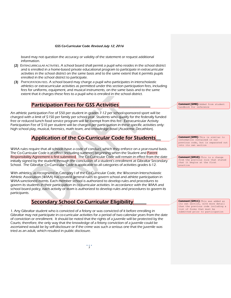board may not question the accuracy or validity of the statement or request additional information.

- (2) EXTRACURRICULAR ACTIVITIES. A school board shall permit a pupil who resides in the school district and is enrolled in a home-based private educational program to participate in extracurricular activities in the school district on the same basis and to the same extent that it permits pupils enrolled in the school district to participate.
- (3) PARTICIPATION FEES. A school board may charge a pupil who participates in interscholastic athletics or extracurricular activities as permitted under this section participation fees, including fees for uniforms, equipment, and musical instruments, on the same basis and to the same extent that it charges these fees to a pupil who is enrolled in the school district.

### **Participation Fees for GSS Activities**

An athletic participation Fee of \$50 per student in grades 7-12 per school-sponsored sport will be charged with a limit of \$150 per family per school year. Students who qualify for the federally funded free or reduced lunch food service program will be exempt from this fee. Extracurricular Activity Participation Fee of \$10 per student will be charged per participation in these specific activities only: high school play, musical, forensics, math team, and knowledge bowl (Academic Decathlon).

### Application of the Co-Curricular Code for Students\_\_

WIAA rules require that all schools have a code of conduct, which they enforce on a year-round basis. The Co-Curricular Code is in effect (including summer) beginning when the Student and Parent Responsibility Agreement is first submitted. The Co-Curricular Code will remain in effect from the date initially signed by the student through the conclusion of a student's enrollment at Gibraltar Secondary School. The Gibraltar Co-Curricular Code is applicable to all categories of activities grades 6-12.

With athletics, as recognized in Category I of the Co-Curricular Code, the Wisconsin Interscholastic Athletic Association (WIAA) has created general rules to govern school and athlete participation in WIAA-sanctioned events. Each member school is authorized to develop rules and procedures to govern its students in their participation in co-curricular activities. In accordance with the WIAA and school board policy, each activity or team is authorized to develop rules and procedures to govern its participants.

### Secondary School Co-Curricular Eligibility\_\_\_\_\_

1. Any Gibraltar student who is convicted of a felony or was convicted of it before enrolling in Gibraltar may not participate in co-curricular activities for a period of two calendar years from the date of conviction or enrollment. It should be noted that the rights of a juvenile will be protected by the Courts; therefore, the only way that the knowledge of a felony conviction of a juvenile could be ascertained would be by self-disclosure or if the crime was such a serious one that the juvenile was tried as an adult, which resulted in public disclosure.

**Comment [GM8]:** Added from student handbook for reference

**Comment [GM9]:** This is similar to information contained in our previous code, but is separated out into its own section

**Comment [GM10]:** This is a change from the previous rule that stated that it begins at the first practice

**Comment [GM11]:** This was added as its own section, with more detail than the previous code including a list of forms that must be submitted prior to participation

*3*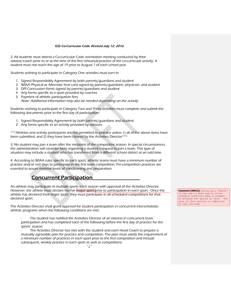2. All students must attend a Co-curricular Code orientation meeting conducted by their advisor/coach prior to or at the time of the first rehearsal/practice of the co-curricular activity. A student must not reach the age of 19 prior to August 1 of each school year.

Students wishing to participate in Category One activities must turn in:

- 1. Signed Responsibility Agreement by both parents/guardians and student
- 2. WIAA Physical or Alternate Year card signed by parents/guardians, physician, and student
- 3. DPI Concussion forms signed by parents/guardians and student
- 4. Any forms specific to a sport provided by coaches
- 5. Payment of athletic participation fees Note: Additional information may also be needed depending on the activity

Students wishing to participate in Category Two and Three activities must complete and submit the following documents prior to the first day of participation:

- 1. Signed Responsibility Agreement by both parents/guardians and student
- 2. Any forms specific to an activity provided by advisors

\*\*\*Athletes and activity participants are not permitted to practice unless 1) all of the above items have been submitted, and 2) they have been cleared by the Activities Director\*\*\*

3. No student may join a team after the midpoint of the competitive season. In special circumstances, the administration will consider facts regarding a student's request to join a team. This type of situation may include a student who has transferred from a different school district at an odd time.

4. According to WIAA rules specific to each sport, athletic teams must have a minimum number of practice and/or rest days to participate in the first team competition. Pre-competition practices are essential to assure minimal levels of conditioning and preparation.

### Concurrent Participation\_\_\_\_\_\_\_\_\_\_\_\_\_\_\_\_\_\_

An athlete may participate in multiple sports each season with approval of the Activities Director. However, the athlete must declare his/her major sport prior to participation in each sport. Once the athlete has declared their major sport, they must participate in all scheduled competitions for that declared sport.

The Activities Director shall grant approval for student participation in concurrent interscholastic athletic programs when the following conditions are met:

The student has notified the Activities Director of an interest in concurrent team participation and has completed each of the following before the first day of practice for the sports' season.

The Activities Director has met with the student and each Head Coach to prepare a mutually agreeable plan for practice and competition. The plan must satisfy the requirement of a minimum number of practices in each sport prior to the first competition and include subsequent, weekly practice in each sport as well as competitions.

**Comment [GM12]:** Declaring a "major" is the way to more easily solve schedule conflicts when a student is playing two sports at once. The rest of this section is identical to the old code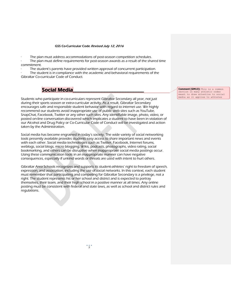The plan must address accommodations of post-season competition schedules.

The plan must define requirements for post-season awards as a result of the shared time commitment.

The student's parents have provided written approval of concurrent participation.

The student is in compliance with the academic and behavioral requirements of the Gibraltar Co-curricular Code of Conduct.

### Social Media

Students who participate in co-curriculars represent Gibraltar Secondary all year, not just during their sports season or extra-curricular activity. As a result, Gibraltar Secondary encourages safe and responsible student behavior with regard to internet use. We highly recommend our students avoid inappropriate use of public web sites such as YouTube, SnapChat, Facebook, Twitter or any other such sites. Any identifiable image, photo, video, or posted on-line conversation discovered which implicates a student to have been in violation of our Alcohol and Drug Policy or Co-Curricular Code of Conduct will be investigated and action taken by the Administration.

Social media has become engrained in today's society. The wide variety of social networking tools presently available provides students easy access to share important news and events with each other. Social media technologies such as Twitter, Facebook, Internet forums, weblogs, social blogs, micro blogging, Wikis, podcasts, photographs, video rating, social bookmarking, and others can be disruptive when inappropriate social media postings occur. Using these communication tools in an inappropriate manner can have negative consequences, especially if unkind words or threats are used with intent to hurt others.

Gibraltar Area Schools recognizes and supports its student-athletes' right to freedom of speech, expression, and association, including the use of social networks. In this context, each student must remember that participating and competing for Gibraltar Secondary is a privilege, not a right. The student represents his or her school and district and is expected to portray themselves, their team, and their high school in a positive manner at all times. Any online posting must be consistent with federal and state laws, as well as school and district rules and regulations.

**Comment [GM13]:** This is a common section in many athletic codes meant to draw attention to social media as it applies to athletes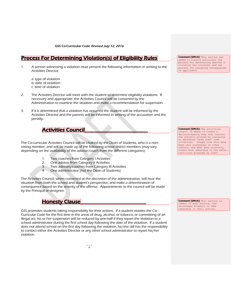## Process For Determining Violation(s) of Eligibility Rules

1. A person witnessing a violation must present the following information in writing to the Activities Director.

a. type of violation b. date of violation c. time of violation

- 2. The Activities Director will meet with the student to determine eligibility violations. If necessary and appropriate, the Activities Council will be convened by the Administration to examine the situation and make a recommendation for suspension.
- 3. If it is determined that a violation has occurred the student will be informed by the Activities Director and the parents will be informed in writing of the accusation and the penalty.

# **Activities Council**

The Co-curricular Activities Council will be chaired by the Dean of Students, who is a nonvoting member, and will be made up of the following school district members (may vary depending on the availability of the advisor/coach from the different categories):

- 1. Two coaches from Category I Activities
- 2. One advisor from Category II Activities
- 3. Two advisors/coaches from Category III Activities
- 4. One administrator (not the Dean of Students)

The Activities Council, when convened at the discretion of the administration, will hear the situation from both the school and student's perspective, and make a determination of consequence based on the severity of the offense. Appointments to the council will be made by the Principal or designee.

### **Honesty Clause**

GSS promotes students taking responsibility for their actions. If a student violates the Co-Curricular Code for the first time in the areas of drug, alcohol, or tobacco, or committing of an illegal act, his or her suspension will be reduced by one-half if they report the violation to a school administrator during the first school day following the date of the violation. If a student does not attend school on the first day following the violation, he/she still has the responsibility to contact either the Activities Director or any other school administrator to report his/her violation.

**Comment [GM14]:** This section was added to clearly articulate the process for determining whether a violation has occurred, and the process for assigning consequences if applicable

**Comment [GM15]:** The activities council is meant to create a decision-making body that assists the athletic program by convening to determine "grey area" code violations. Groups like this have been very successful in other schools, and when done correctly, create more ownership in the extracurricular programs by staff

**Comment [GM16]:** This section is common in many schools, and encourages students to take ownership in their actions.

*6*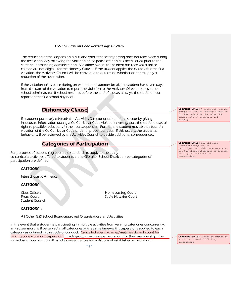The reduction of the suspension is null and void if the self-reporting does not take place during the first school day following the violation or if a police citation has been issued prior to the student approaching administration. Violations where the student has received a police citation are not eligible for the Honesty Clause. If the student applies the clause after the first violation, the Activities Council will be convened to determine whether or not to apply a reduction of the suspension.

If the violation takes place during an extended or summer break, the student has seven days from the date of the violation to report the violation to the Activities Director or any other school administrator. If school resumes before the end of the seven days, the student must report on the first school day back.

### **Dishonesty Clause**

If a student purposely misleads the Activities Director or other administrator by giving inaccurate information during a Co-Curricular Code violation investigation, the student loses all right to possible reductions in their consequences. Further, the student may also be found in violation of the Co-Curricular Code under improper conduct. If this occurs, the student's behavior will be reviewed by the Activities Council to decide additional consequences.

### Categories of Participation

For purposes of establishing equitable standards to apply to the many co-curricular activities offered to students in the Gibraltar School District, three categories of participation are defined.

#### CATEGORY I

Interscholastic Athletics

#### **CATEGORY II**

Student Council

**Class Officers Homecoming Court Prom Court Court Sadie Hawkins Court Court Court Court Court Court Court Court Court Court Court Court Court Court Court Court Court Court Court Court Court Court Court Court Court Court Court Court Court Court Court Cour** 

#### **CATEGORY III**

All Other GSS School Board-approved Organizations and Activities

In the event that a student is participating in multiple activities from varying categories concurrently, any suspensions will be served in all categories at the same time—with suspensions applied to each category as outlined in this code of conduct. Cancelled events/games/matches do not count for serving code violation suspensions. Each group may create expectations for their membership. The individual group or club will handle consequences for violations of established expectations.

**Comment [GM17]:** A dishonesty clause always follows an honesty clause to further underline the value the school puts on integrity and honesty

**Comment [GM18]:** Our old code included categories of participation. This code separates out the three categories to provide clarity for students on expectations

**Comment [GM19]:** Cancelled events to not count toward fulfilling suspensions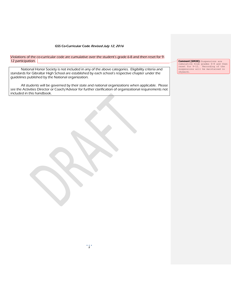Violations of the co-curricular code are cumulative over the student's grade 6-8 and then reset for 9- 12 participation.

National Honor Society is not included in any of the above categories. Eligibility criteria and standards for Gibraltar High School are established by each school's respective chapter under the guidelines published by the National organization.

All students will be governed by their state and national organizations when applicable. Please see the Activities Director or Coach/Advisor for further clarification of organizational requirements not included in this handbook.

Ì

**Comment [GM20]:** Suspensions are cumulative from grades 6-8 and then reset for 9-12. Recording of the suspensions will be maintained in skyward.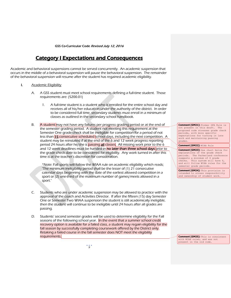### Category I Expectations and Consequences

Academic and behavioral suspensions cannot be served concurrently. An academic suspension that occurs in the middle of a behavioral suspension will pause the behavioral suspension. The remainder of the behavioral suspension will resume after the student has regained academic eligibility.

#### I. Academic Eligibility

- A. A GSS student must meet school requirements defining a full-time student. Those requirements are: (5200.01)
	- 1. A full-time student is a student who is enrolled for the entire school day and receives all of his/her education under the authority of the district. In order to be considered full time, secondary students must enroll in a minimum of classes as outlined in the secondary school handbook.
- B. A student may not have any failures per progress grading period or at the end of the semester grading period. A student not meeting this requirement at the Semester One grade check shall be ineligible for competition for a period of not less than 15 consecutive scheduled school days, including the next competition. A student may be reinstated if at the end of the 6 and 12 week progress reporting period 24 hours after he/she is passing all classes. All missing work prior to the 6 and 12 week deadlines must be handed in no later than three school days prior to the grade check date to be considered for eligibility. Any work turned in after this time is at the teacher's discretion for consideration.

\*Note: Fall sports will follow the WIAA rule on academic eligibility which reads; "The minimum ineligibility period shall be the lesser of (1) 21 consecutive calendar days beginning with the date of the earliest allowed competition in a sport or (2) one-third of the maximum number of games/meets allowed in a sport."

- C. Students who are under academic suspension may be allowed to practice with the approval of the coach and Activities Director. If after the fifteen (15) day Semester One or Semester Two WIAA suspension the student is still academically ineligible, then the student will continue to be ineligible until 24 hours after all grades are passing.
- D. Students' second semester grades will be used to determine eligibility for the Fall seasons of the following school year. In the event that a summer school credit recovery option is available for a failed class, a student may regain eligibility for the fall season by successfully completing coursework offered by the District only. Retaking a failed course in the fall semester does NOT meet the eligibility requirements.

**Comment [GM21]:** Former GPA Rule is not present in this draft. The proposed code stresses grade check periods, with more specific expectations for turning in late work and maintaining passing grades.

**Comment [GM22]:** WIAA Rule

**Comment [GM23]:** See chart below for explanations of the grade check periods. The Packerland conference suggests a minimum of 4 grade checks. This system will have 6, and will follow WIAA rules for the semester grade periods.

**Comment [GM24]:** This provision is intended to stress responsibility and ownership of student work.

**Comment [GM25]:** This is consistent with WIAA rules, and was not present in the old code.

*9*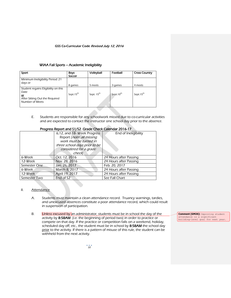#### WIAA Fall Sports – Academic Ineligibility

| Sport                                                                                                         | <b>Boys</b><br>Soccer | Volleyball             | Football              | <b>Cross Country</b>  |
|---------------------------------------------------------------------------------------------------------------|-----------------------|------------------------|-----------------------|-----------------------|
| Minimum Ineligibility Period: 21<br>days or                                                                   | 8 games               | 5 meets                | 3 games               | 4 meets               |
| Student regains Eligibility on this<br>Date<br><u>or</u><br>After Sitting Out the Required<br>Number of Meets | Sept.15 <sup>th</sup> | Sept. 15 <sup>th</sup> | Sept.10 <sup>th</sup> | Sept.15 <sup>th</sup> |

E. Students are responsible for any schoolwork missed due to co-curricular activities and are expected to contact the instructor one school day prior to the absence.

**Allen** 

| Progress Report and S1/S2 Grade Check Calendar 2016-17 |                               |                        |  |  |
|--------------------------------------------------------|-------------------------------|------------------------|--|--|
|                                                        | 6,12, and 18-Week Progress    | End of Ineligibility   |  |  |
|                                                        | Report (note: all missing     |                        |  |  |
|                                                        | work must be turned in        |                        |  |  |
|                                                        | three school days prior to be |                        |  |  |
|                                                        | considered for a grade        |                        |  |  |
|                                                        | <i>check</i>                  |                        |  |  |
| 6-Week                                                 | Oct. 12, 2016                 | 24 Hours after Passing |  |  |
| 12-Week                                                | Nov. 28, 2016                 | 24 Hours after Passing |  |  |
| Semester One-                                          | Jan. 26, 2017                 | Feb. 20, 2017          |  |  |
| 6-Week                                                 | March 8, 2017                 | 24 Hours after Passing |  |  |
| 12-Week                                                | April 19, 2017                | 24 Hours after Passing |  |  |

Semester Two End of S2 See Fall Chart

#### II. Attendance

- A. Students must maintain a clean attendance record. Truancy warnings, tardies, and unexcused absences constitute a poor attendance record, which could result in suspension of participation.
- B. Unless excused by an administrator, students must be in school the day of the activity by 8:58AM (i.e. the beginning of period two) in order to practice or compete on that day. If the practice or competition falls on a weekend, holiday, scheduled day off, etc., the student must be in school by 8:58AM the school day prior to the activity. If there is a pattern of misuse of this rule, the student can be withheld from the next activity.

**Comment [GM26]:** Improving student attendance is a significant<br>building-level goal for next year.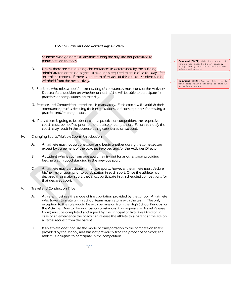- C. Students who go home ill, anytime during the day, are not permitted to participate on that day.
- D. Unless there are extenuating circumstances as determined by the building administrator, or their designee, a student is required to be in class the day after an athletic contest. If there is a pattern of misuse of this rule the student can be withheld from the next activity.
- F. Students who miss school for extenuating circumstances must contact the Activities Director for a decision on whether or not he/she will be able to participate in practices or competitions on that day.
- G. Practice and Competition attendance is mandatory. Each coach will establish their attendance policies detailing their expectations and consequences for missing a practice and/or competition.
- H. If an athlete is going to be absent from a practice or competition, the respective coach must be notified prior to the practice or competition. Failure to notify the coach may result in the absence being considered unexcused.

#### IV. Changing Sports/Multiple Sports Participation

- A. An athlete may not quit one sport and begin another during the same season except by agreement of the coaches involved and/or the Activities Director
- B. A student who is cut from one sport may try out for another sport providing he/she was in good standing in the previous sport.
- C. An athlete may participate in multiple sports, however the athlete must declare his/her major sport prior to participation in each sport. Once the athlete has declared their major sport, they must participate in all scheduled competitions for that declared sport.

#### V. Travel and Conduct on Trips

- A. Athletes must use the mode of transportation provided by the school. An athlete who travels to a site with a school team must return with the team. The only exception to this rule would be with permission from the High School Principal or the Activities Director for unusual circumstances. This request (i.e. Travel Release Form) must be completed and signed by the Principal or Activities Director. In case of an emergency the coach can release the athlete to a parent at the site on a verbal request from the parent.
- B. If an athlete does not use the mode of transportation to the competition that is provided by the school, and has not previously filed the proper paperwork, the athlete is ineligible to participate in the competition.

**Comment [GM27]:** This is standard…if you're too sick to be in school, you probably shouldn't be in after school activities

**Comment [GM28]:** Again, this ties in with next year's efforts to improve attendance rates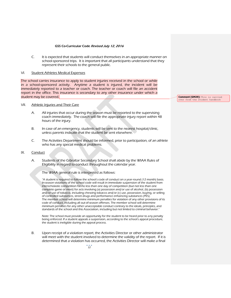C. It is expected that students will conduct themselves in an appropriate manner on school-sponsored trips. It is important that all participants understand that they represent their schools to the general public.

#### VI. Student Athletes Medical Expenses

The school carries insurance to apply to student injuries received in the school or while in a school-sponsored activity. Anytime a student is injured, the incident will be immediately reported to a teacher or coach. The teacher or coach will file an accident report in the office. This insurance is secondary to any other insurance under which a student may be covered.

#### VII. Athletic Injuries and Their Care

- A. All injuries that occur during the season must be reported to the supervising coach immediately. The coach will file the appropriate injury report within 48 hours of the injury.
- B. In case of an emergency, students will be sent to the nearest hospital/clinic, unless parents indicate that the student be sent elsewhere.
- C. The Activities Department should be informed, prior to participation, of an athlete who has any special medical problems.

#### IX. Conduct

A. Students of the Gibraltar Secondary School shall abide by the WIAA Rules of Eligibility in regard to conduct throughout the calendar year.

The WIAA general rule is interpreted as follows:

"A student is required to follow the school's code of conduct on a year-round (12 month) basis. In-season violations of the school code will result in immediate suspension of the student from interscholastic competition for no less than one day of competition (but not less than one complete game or meet) for acts involving (a) possession and/or use of alcohol, (b) possession and/or use of tobacco, including chewing tobacco and/or (c) use, possession, buying, or selling of controlled substances, street drugs and performance enhancing substances (PES). The member school will determine minimum penalties for violation of any other provisions of its code of conduct, including all out-of-season offenses. The member school will determine minimum penalties for any other unacceptable conduct contrary to the ideals, principles, and standards of the school and this Association, including but not limited to criminal behavior."

Note: The school must provide an opportunity for the student to be heard prior to any penalty being enforced. If a student appeals a suspension, according to the school's appeal procedure, the student is ineligible during the appeal process.

B. Upon receipt of a violation report, the Activities Director or other administrator will meet with the student involved to determine the validity of the report. If it is determined that a violation has occurred, the Activities Director will make a final

**Comment [GM29]:** This is carried over from the student handbook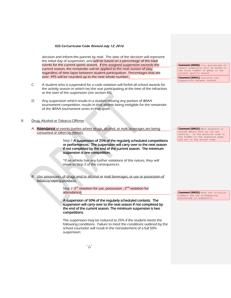decision and inform the parents by mail. The date of the decision will represent the initial day of suspension, and will be based on a percentage of the total events for the current sports season. If the assigned suspension exceeds the current season, the remainder will be applied to the next season of play, regardless of time lapse between student participation. Percentages that are over .495 will be rounded up to the next whole number.

- C. A student who is suspended for a code violation will forfeit all school awards for the activity season in which he/she was participating at the time of the infraction, or the start of the suspension (see section XII).
- D. Any suspension which results in a student missing any portion of WIAA tournament competition, results in that athlete being ineligible for the remainder of the WIAA tournament series in that sport.

#### X: Drug, Alcohol or Tobacco Offense

A. **Attendance** at events/parties where drugs, alcohol, or malt beverages are being consumed or taken by minors:

> Step 1:A suspension of 25% of the regularly scheduled competitions or performances. The suspension will carry over to the next season if not completed by the end of the current season. The minimum suspension is one competition.

\*If an athlete has any further violations of this nature, they will move to Step 2 of the consequences.

B. Use, possession, of drugs and/or alcohol or malt beverages, or use or possession of tobacco/vaping products.

> Step 2: (1<sup>st</sup> violation for use, possession ; 2<sup>nd</sup> violation for attendance)

A suspension of 50% of the regularly scheduled contests. The suspension will carry over to the next season if not completed by the end of the current season. The minimum suspension is two competitions.

The suspension may be reduced to 25% if the student meets the following conditions. Failure to meet the conditions outlined by the school counselor will result in the reinstatement of a full 50% suspension:

**Comment [GM30]:** i.e. percentage of season suspension will be based on the total number of games in the current sport's season

**Comment [GM31]:** Carrying over suspensions between seasons

**Comment [GM32]:** Mere presence is stated openly here as its own section. In the previous code it was hidden in the signature page and not in the actual code.

**Comment [GM33]:** Note the violation numbers and the accompanying percentage of suspension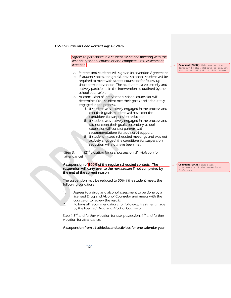- 1. Agrees to participate in a student assistance meeting with the secondary school counselor and complete a risk assessment screener.
	- a. Parents and students will sign an Intervention Agreement
	- b. If student scores at high-risk on a screener, student will be required to meet with school counselor for follow-up short-term intervention. The student must voluntarily and actively participate in the intervention as outlined by the school counselor.
	- c. At conclusion of intervention, school counselor will determine if the student met their goals and adequately engaged in the process.
		- i. If student was actively engaged in the process and met their goals, student will have met the conditions for suspension reduction
		- ii. If student was actively engaged in the process and did not meet their goals, secondary school counselor will contact parents with recommendations for additional support.
		- iii. If student missed scheduled meetings and was not actively engaged, the conditions for suspension reduction will not have been met.

Step 3:  $(2^{nd}$  violation for use, possession; 3<sup>rd</sup> violation for attendance)

#### A suspension of 100% of the regular scheduled contests. The suspension will carry over to the next season if not completed by the end of the current season.

The suspension may be reduced to 50% if the student meets the following conditions:

- 1. Agrees to a drug and alcohol assessment to be done by a licensed Drug and Alcohol Counselor and meets with the counselor to review the results.
- 2. Follows all recommendations for follow-up treatment made by the licensed Drug and Alcohol Counselor.

Step 4:3<sup>rd</sup> and further violation for use, possession; 4<sup>th</sup> and further violation for attendance.

#### A suspension from all athletics and activities for one calendar year.

**Comment [GM34]:** This was written directly by Mrs. Roberts to reflect what we actually do in this context

**Comment [GM35]:** These are consistent with the Packerland Conference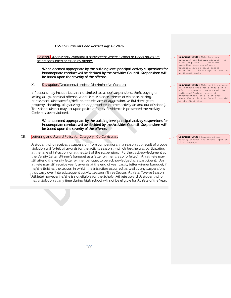C. Hosting/Organizing/Arranging a party/event where alcohol or illegal drugs are being consumed or taken by minors.

 When deemed appropriate by the building-level principal, activity suspensions for inappropriate conduct will be decided by the Activities Council. Suspensions will be based upon the severity of the offense.

XI: Disruption/Detrimental and/or Discriminative Conduct

Infractions may include but are not limited to: school suspensions, theft, buying or selling drugs, criminal offense, vandalism, violence, threats of violence, hazing, harassment, disrespectful/defiant attitude, acts of aggression, willful damage to property, cheating, plagiarizing, or inappropriate internet activity (in and out of school). The school district may act upon police referrals if evidence is presented the Activity Code has been violated.

When deemed appropriate by the building-level principal, activity suspensions for inappropriate conduct will be decided by the Activities Council. Suspensions will be based upon the severity of the offense.

#### XII: Lettering and Award Policy for Category I Co-Curriculars

A student who receives a suspension from competitions in a season as a result of a code violation will forfeit all awards for the activity season in which he/she was participating at the time of infraction, or at the start of the suspension. Further, acknowledgment at the Varsity Letter Winner's banquet as a letter winner is also forfeited. An athlete may still attend the varsity letter winner banquet to be acknowledged as a participant. An athlete may still receive yearly awards at the end of year varsity letter winner banquet, if he/she finishes the season in which the infraction occurred, as well as any suspensions that carry over into subsequent activity seasons (Three-Season Athlete, Twelve-Season Athlete) however he/she is not eligible for the Scholar Athlete award. A student who has a violation at any time during high school will not be eligible for Athlete of the Year.

**Comment [GM36]:** This is a new provision for hosting parties. It would be present in the other preceding sections of mere presence, but it calls direct attention to the concept of hosting an illegal party

#### **Comment [GM37]:** This section covers all conduct that could result in a school suspension. Because of the individual/unique nature of circumstances, this is an area where the Activities Council should be the first step

**Comment [GM38]:** Several of our varsity coaches had direct input on this language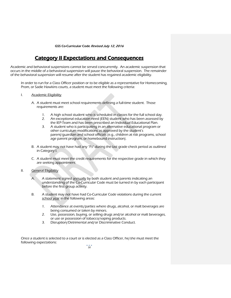### Category II Expectations and Consequences

Academic and behavioral suspensions cannot be served concurrently. An academic suspension that occurs in the middle of a behavioral suspension will pause the behavioral suspension. The remainder of the behavioral suspension will resume after the student has regained academic eligibility.

In order to run for a Class Officer position or to be eligible as a representative for Homecoming, Prom, or Sadie Hawkins courts, a student must meet the following criteria:

- I. Academic Eligibility
	- A. A student must meet school requirements defining a full-time student. Those requirements are:
		- 1. A high school student who is scheduled in classes for the full school day.
		- 2. An exceptional education need (EEN) student who has been assessed by the IEP-Team and has been prescribed an Individual Educational Plan.
		- 3. A student who is participating in an alternative educational program or other curriculum modifications as approved by the student's parent/guardian and school officials (e.g., children at risk programs, school age parent program, or homebound instruction).
	- B. A student may not have had any "Fs" during the last grade check period as outlined in Category I.
	- C. A student must meet the credit requirements for the respective grade in which they are seeking appointment.
- II. General Eligibility
	- A. A statement signed annually by both student and parents indicating an understanding of the Co-Curricular Code must be turned in by each participant before the first group activity.
	- B. A student may not have had Co-Curricular Code violations during the current school year in the following areas:
		- 1. Attendance at events/parties where drugs, alcohol, or malt beverages are being consumed or taken by minors.
		- 2. Use, possession, buying, or selling drugs and/or alcohol or malt beverages, or use or possession of tobacco/vaping products.
		- 3. Disruption/Detrimental and/or Discriminative Conduct.

Once a student is selected to a court or is elected as a Class Officer, he/she must meet the following expectations: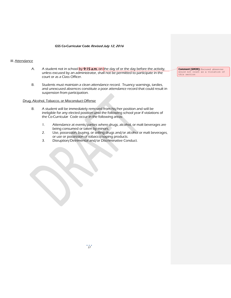#### III. Attendance

- A. A student not in school by  $9:15$  a.m. on the day of or the day before the activity, unless excused by an administrator, shall not be permitted to participate in the court or as a Class Officer.
- B. Students must maintain a clean attendance record. Truancy warnings, tardies, and unexcused absences constitute a poor attendance record that could result in suspension from participation.

#### Drug, Alcohol, Tobacco, or Misconduct Offense

- B. A student will be immediately removed from his/her position and will be ineligible for any elected position until the following school year if violations of the Co-Curricular Code occur in the following areas:
	- 1. Attendance at events/parties where drugs, alcohol, or malt beverages are being consumed or taken by minors.
	- 2. Use, possession, buying, or selling drugs and/or alcohol or malt beverages, or use or possession of tobacco/vaping products.
	- 3. Disruption/Detrimental and/or Discriminative Conduct.

**Comment [GM39]:** Excused absences would not count as a violation of this section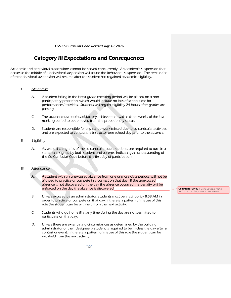### Category III Expectations and Consequences

Academic and behavioral suspensions cannot be served concurrently. An academic suspension that occurs in the middle of a behavioral suspension will pause the behavioral suspension. The remainder of the behavioral suspension will resume after the student has regained academic eligibility.

- I. Academics
	- A. A student failing in the latest grade checking period will be placed on a nonparticipatory probation, which would include no loss of school time for performances/activities. Students will regain eligibility 24 hours after grades are passing.
	- C. The student must attain satisfactory achievement within three weeks of the last marking period to be removed from the probationary status.
	- D. Students are responsible for any schoolwork missed due to co-curricular activities and are expected to contact the instructor one school day prior to the absence.
- II. **Eligibility** 
	- A. As with all categories of the co-curricular code, students are required to turn in a statement, signed by both student and parents, indicating an understanding of the Co-Curricular Code before the first day of participation.

#### III. Attendance

- A. A student with an unexcused absence from one or more class periods will not be allowed to practice or compete in a contest on that day. If the unexcused absence is not discovered on the day the absence occurred the penalty will be enforced on the day the absence is discovered.
- B. Unless excused by an administrator, students must be in school by 8:58 AM in order to practice or compete on that day. If there is a pattern of misuse of this rule the student can be withheld from the next activity.
- C. Students who go home ill at any time during the day are not permitted to participate on that day.
- D. Unless there are extenuating circumstances as determined by the building administrator or their designee, a student is required to be in class the day after a contest or event. If there is a pattern of misuse of this rule the student can be withheld from the next activity.

**Comment [GM40]:** Consistent with efforts to improve attendance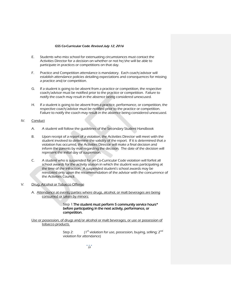- E. Students who miss school for extenuating circumstances must contact the Activities Director for a decision on whether or not he/she will be able to participate in practices or competitions on that day.
- F. Practice and Competition attendance is mandatory. Each coach/advisor will establish attendance policies detailing expectations and consequences for missing a practice and/or competition.
- G. If a student is going to be absent from a practice or competition, the respective coach/advisor must be notified prior to the practice or competition. Failure to notify the coach may result in the absence being considered unexcused.
- H. If a student is going to be absent from a practice, performance, or competition, the respective coach/advisor must be notified prior to the practice or competition. Failure to notify the coach may result in the absence being considered unexcused.

#### IV. Conduct

- A. A student will follow the guidelines of the Secondary Student Handbook
- B. Upon receipt of a report of a violation, the Activities Director will meet with the student involved to determine the validity of the report. If it is determined that a violation has occurred, the Activities Director will make a final decision and inform the parents by mail regarding the decision. The date of the decision will represent the initial day of suspension.
- C. A student who is suspended for an Co-Curricular Code violation will forfeit all school awards for the activity season in which the student was participating at the time of the infraction. A suspended student's school awards may be reinstated only upon the recommendation of the advisor with the concurrence of the Activities Council.
- V. Drug, Alcohol or Tobacco Offense
	- A. Attendance at events/parties where drugs, alcohol, or malt beverages are being consumed or taken by minors:

#### Step 1:The student must perform 5 community service hours\* before participating in the next activity, performance, or competition.

Use or possession, of drugs and/or alcohol or malt beverages, or use or possession of tobacco products.

> Step 2:  $(1^{\text{st}}$  violation for use, possession, buying, selling;  $2^{\text{nd}}$ violation for attendance)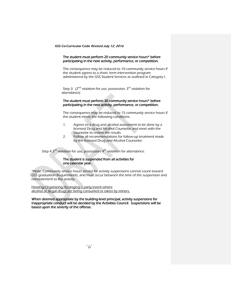#### The student must perform 20 community service hours\* before participating in the next activity, performance, or competition.

The consequence may be reduced to 10 community service hours if the student agrees to a short- term intervention program administered by the GSS Student Services as outlined in Category I.

Step 3:  $(2^{nd}$  violation for use, possession;  $3^{rd}$  violation for attendance)

#### The student must perform 30 community service hours\* before participating in the next activity, performance, or competition.

The consequence may be reduced to 15 community service hours if the student meets the following conditions:

- 1. Agrees to a drug and alcohol assessment to be done by a licensed Drug and Alcohol Counselor and meet with the counselor to review the results.
- 2. Follow all recommendations for follow-up treatment made by the licensed Drug and Alcohol Counselor.

Step 4:3<sup>rd</sup> violation for use, possession; 4<sup>th</sup> violation for attendance.

#### The student is suspended from all activities for one calendar year.

\*Note: Community service hours served for activity suspensions cannot count toward GSS graduation Requirements, and must occur between the time of the suspension and reinstatement to the activity.

Hosting/Organizing/Arranging a party/event where alcohol or illegal drugs are being consumed or taken by minors.

#### When deemed appropriate by the building-level principal, activity suspensions for inappropriate conduct will be decided by the Activities Council. Suspensions will be based upon the severity of the offense.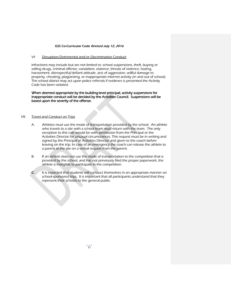#### VI: Disruption/Detrimental and/or Discriminative Conduct

Infractions may include but are not limited to: school suspensions, theft, buying or selling drugs, criminal offense, vandalism, violence, threats of violence, hazing, harassment, disrespectful/defiant attitude, acts of aggression, willful damage to property, cheating, plagiarizing, or inappropriate internet activity (in and out of school). The school district may act upon police referrals if evidence is presented the Activity Code has been violated.

When deemed appropriate by the building-level principal, activity suspensions for inappropriate conduct will be decided by the Activities Council. Suspensions will be based upon the severity of the offense.

#### VII. Travel and Conduct on Trips

- A. Athletes must use the mode of transportation provided by the school. An athlete who travels to a site with a school team must return with the team. The only exception to this rule would be with permission from the Principal or the Activities Director for unusual circumstances. This request must be in writing and signed by the Principal or Activities Director and given to the coach before leaving on the trip. In case of an emergency the coach can release the athlete to a parent at the site on a verbal request from the parent.
- B. If an athlete does not use the mode of transportation to the competition that is provided by the school, and has not previously filed the proper paperwork, the athlete is ineligible to participate in the competition.
- C. It is expected that students will conduct themselves in an appropriate manner on school-sponsored trips. It is important that all participants understand that they represent their schools to the general public.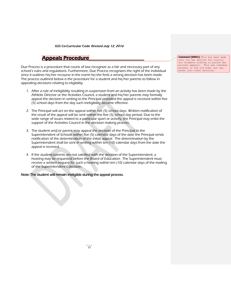### **Appeals Procedure**

Due Process is a procedure that courts of law recognize as a fair and necessary part of any school's rules and regulations. Furthermore, Due Process recognizes the right of the individual since it outlines his/her recourse in the event he/she feels a wrong decision has been made. The process outlined below is the procedure for a student and his/her parents to follow in appealing decisions relating to eligibility:

- 1. After a rule of ineligibility resulting in suspension from an activity has been made by the Athletic Director or the Activities Council, a student and his/her parents may formally appeal the decision in writing to the Principal provided the appeal is received within five (5) school days from the day such ineligibility became effective.
- 2. The Principal will act on the appeal within five (5) school days. Written notification of the result of the appeal will be sent within the five (5) school day period. Due to the wide range of issues related to a particular sport or activity, the Principal may enlist the support of the Activities Council in the decision making process.
- 3. The student and/or parent may appeal the decision of the Principal to the Superintendent of Schools within five (5) calendar days of the date the Principal sends notification of the determination of the initial appeal. The determination by the Superintendent shall be sent in writing within ten (10) calendar days from the date the appeal is received.
- 4. If the student/parents are not satisfied with the decision of the Superintendent, a hearing may be requested before the Board of Education. The Superintendent must receive a written request for such a hearing within ten (10) calendar days of the mailing of the Superintendent's decision.

Note: The student will remain ineligible during the appeal process.

**Comment [GM41]:** This has been made into its own section for clarity for students wishing to pursue due process appeals. This was somewhat present in the old code, but was .<br>woven into other sections.